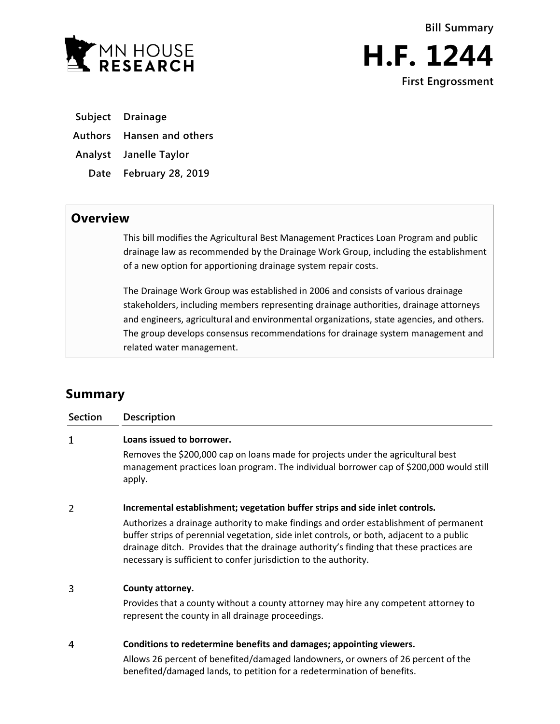



**Subject Drainage**

**Authors Hansen and others**

**Analyst Janelle Taylor**

**Date February 28, 2019**

## **Overview**

This bill modifies the Agricultural Best Management Practices Loan Program and public drainage law as recommended by the Drainage Work Group, including the establishment of a new option for apportioning drainage system repair costs.

The Drainage Work Group was established in 2006 and consists of various drainage stakeholders, including members representing drainage authorities, drainage attorneys and engineers, agricultural and environmental organizations, state agencies, and others. The group develops consensus recommendations for drainage system management and related water management.

## **Summary**

| Section | Description                                                                                                                                                                                                                                                                                                                                       |
|---------|---------------------------------------------------------------------------------------------------------------------------------------------------------------------------------------------------------------------------------------------------------------------------------------------------------------------------------------------------|
| 1       | Loans issued to borrower.                                                                                                                                                                                                                                                                                                                         |
|         | Removes the \$200,000 cap on loans made for projects under the agricultural best<br>management practices loan program. The individual borrower cap of \$200,000 would still<br>apply.                                                                                                                                                             |
| 2       | Incremental establishment; vegetation buffer strips and side inlet controls.                                                                                                                                                                                                                                                                      |
|         | Authorizes a drainage authority to make findings and order establishment of permanent<br>buffer strips of perennial vegetation, side inlet controls, or both, adjacent to a public<br>drainage ditch. Provides that the drainage authority's finding that these practices are<br>necessary is sufficient to confer jurisdiction to the authority. |
| 3       | County attorney.                                                                                                                                                                                                                                                                                                                                  |
|         | Provides that a county without a county attorney may hire any competent attorney to<br>represent the county in all drainage proceedings.                                                                                                                                                                                                          |
| 4       | Conditions to redetermine benefits and damages; appointing viewers.                                                                                                                                                                                                                                                                               |

Allows 26 percent of benefited/damaged landowners, or owners of 26 percent of the benefited/damaged lands, to petition for a redetermination of benefits.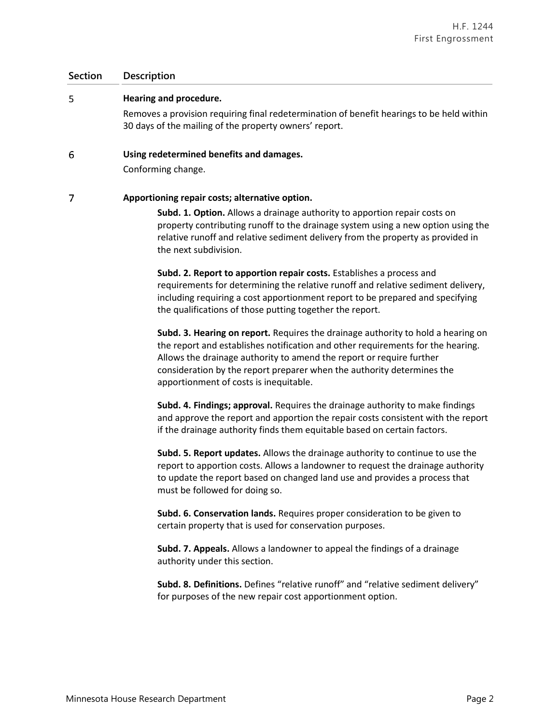## **Section Description**

5

**Hearing and procedure.**

|   | Removes a provision requiring final redetermination of benefit hearings to be held within<br>30 days of the mailing of the property owners' report.                                                                                                                                                                         |
|---|-----------------------------------------------------------------------------------------------------------------------------------------------------------------------------------------------------------------------------------------------------------------------------------------------------------------------------|
| 6 | Using redetermined benefits and damages.<br>Conforming change.                                                                                                                                                                                                                                                              |
|   | Apportioning repair costs; alternative option.<br>Subd. 1. Option. Allows a drainage authority to apportion repair costs on<br>property contributing runoff to the drainage system using a new option using the<br>relative runoff and relative sediment delivery from the property as provided in<br>the next subdivision. |

**Subd. 2. Report to apportion repair costs.** Establishes a process and requirements for determining the relative runoff and relative sediment delivery, including requiring a cost apportionment report to be prepared and specifying the qualifications of those putting together the report.

**Subd. 3. Hearing on report.** Requires the drainage authority to hold a hearing on the report and establishes notification and other requirements for the hearing. Allows the drainage authority to amend the report or require further consideration by the report preparer when the authority determines the apportionment of costs is inequitable.

**Subd. 4. Findings; approval.** Requires the drainage authority to make findings and approve the report and apportion the repair costs consistent with the report if the drainage authority finds them equitable based on certain factors.

**Subd. 5. Report updates.** Allows the drainage authority to continue to use the report to apportion costs. Allows a landowner to request the drainage authority to update the report based on changed land use and provides a process that must be followed for doing so.

**Subd. 6. Conservation lands.** Requires proper consideration to be given to certain property that is used for conservation purposes.

**Subd. 7. Appeals.** Allows a landowner to appeal the findings of a drainage authority under this section.

**Subd. 8. Definitions.** Defines "relative runoff" and "relative sediment delivery" for purposes of the new repair cost apportionment option.